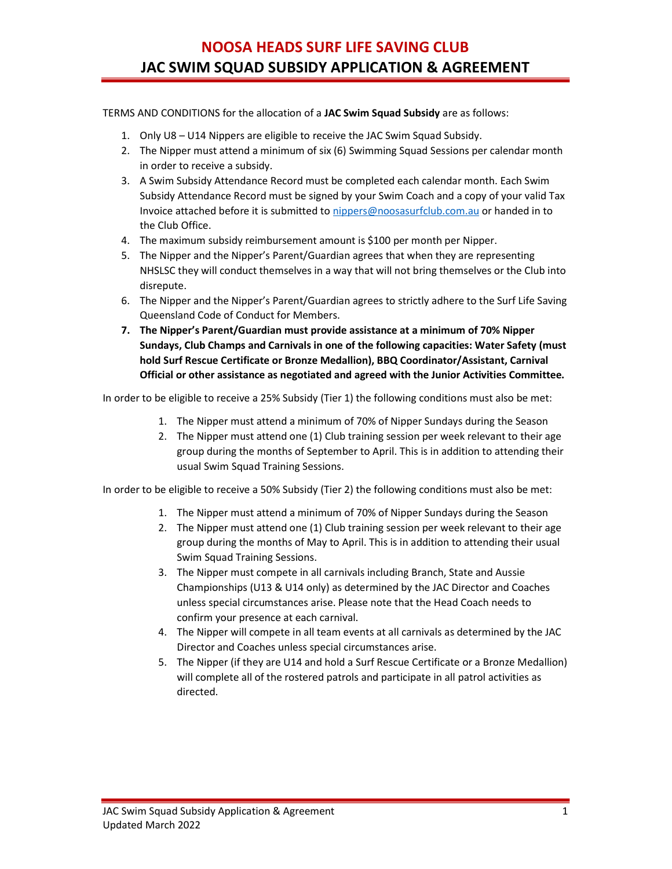## NOOSA HEADS SURF LIFE SAVING CLUB JAC SWIM SQUAD SUBSIDY APPLICATION & AGREEMENT

TERMS AND CONDITIONS for the allocation of a JAC Swim Squad Subsidy are as follows:

- 1. Only U8 U14 Nippers are eligible to receive the JAC Swim Squad Subsidy.
- 2. The Nipper must attend a minimum of six (6) Swimming Squad Sessions per calendar month in order to receive a subsidy.
- 3. A Swim Subsidy Attendance Record must be completed each calendar month. Each Swim Subsidy Attendance Record must be signed by your Swim Coach and a copy of your valid Tax Invoice attached before it is submitted to nippers@noosasurfclub.com.au or handed in to the Club Office.
- 4. The maximum subsidy reimbursement amount is \$100 per month per Nipper.
- 5. The Nipper and the Nipper's Parent/Guardian agrees that when they are representing NHSLSC they will conduct themselves in a way that will not bring themselves or the Club into disrepute.
- 6. The Nipper and the Nipper's Parent/Guardian agrees to strictly adhere to the Surf Life Saving Queensland Code of Conduct for Members.
- 7. The Nipper's Parent/Guardian must provide assistance at a minimum of 70% Nipper Sundays, Club Champs and Carnivals in one of the following capacities: Water Safety (must hold Surf Rescue Certificate or Bronze Medallion), BBQ Coordinator/Assistant, Carnival Official or other assistance as negotiated and agreed with the Junior Activities Committee.

In order to be eligible to receive a 25% Subsidy (Tier 1) the following conditions must also be met:

- 1. The Nipper must attend a minimum of 70% of Nipper Sundays during the Season
- 2. The Nipper must attend one (1) Club training session per week relevant to their age group during the months of September to April. This is in addition to attending their usual Swim Squad Training Sessions.

In order to be eligible to receive a 50% Subsidy (Tier 2) the following conditions must also be met:

- 1. The Nipper must attend a minimum of 70% of Nipper Sundays during the Season
- 2. The Nipper must attend one (1) Club training session per week relevant to their age group during the months of May to April. This is in addition to attending their usual Swim Squad Training Sessions.
- 3. The Nipper must compete in all carnivals including Branch, State and Aussie Championships (U13 & U14 only) as determined by the JAC Director and Coaches unless special circumstances arise. Please note that the Head Coach needs to confirm your presence at each carnival.
- 4. The Nipper will compete in all team events at all carnivals as determined by the JAC Director and Coaches unless special circumstances arise.
- 5. The Nipper (if they are U14 and hold a Surf Rescue Certificate or a Bronze Medallion) will complete all of the rostered patrols and participate in all patrol activities as directed.